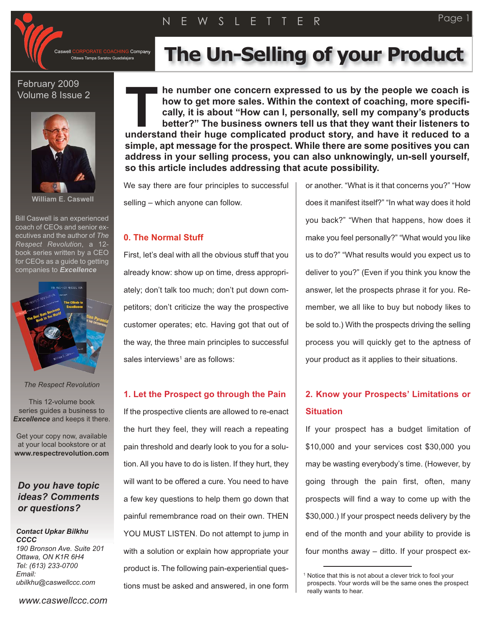**G** Company

### February 2009 Volume 8 Issue 2



**William E. Caswell**

Bill Caswell is an experienced coach of CEOs and senior executives and the author of *The Respect Revolution*, a 12 book series written by a CEO for CEOs as a guide to getting companies to *Excellence*



*The Respect Revolution*

This 12-volume book series guides a business to *Excellence* and keeps it there.

Get your copy now, available at your local bookstore or at **www.respectrevolution.com**

## *Do you have topic ideas? Comments or questions?*

*Contact Upkar Bilkhu CCCC 190 Bronson Ave. Suite 201 Ottawa, ON K1R 6H4 Tel: (613) 233-0700 Email: ubilkhu@caswellccc.com*

# **I CORPORATE COACHING Company** The Un-Selling of your Product

**he number one concern expressed to us by the people we coach is how to get more sales. Within the context of coaching, more specifically, it is about "How can I, personally, sell my company's products better?" The business owners tell us that they want their listeners to understand their number one concern expressed to us by the people we coach is<br>how to get more sales. Within the context of coaching, more specifi-<br>cally, it is about "How can I, personally, sell my company's products<br>bett simple, apt message for the prospect. While there are some positives you can address in your selling process, you can also unknowingly, un-sell yourself, so this article includes addressing that acute possibility.**

We say there are four principles to successful selling – which anyone can follow.

#### **0. The Normal Stuff**

First, let's deal with all the obvious stuff that you already know: show up on time, dress appropriately; don't talk too much; don't put down competitors; don't criticize the way the prospective customer operates; etc. Having got that out of the way, the three main principles to successful sales interviews<sup>1</sup> are as follows:

#### **1. Let the Prospect go through the Pain**

If the prospective clients are allowed to re-enact the hurt they feel, they will reach a repeating pain threshold and dearly look to you for a solution. All you have to do is listen. If they hurt, they will want to be offered a cure. You need to have a few key questions to help them go down that painful remembrance road on their own. THEN YOU MUST LISTEN. Do not attempt to jump in with a solution or explain how appropriate your product is. The following pain-experiential questions must be asked and answered, in one form

or another. "What is it that concerns you?" "How does it manifest itself?" "In what way does it hold you back?" "When that happens, how does it make you feel personally?" "What would you like us to do?" "What results would you expect us to deliver to you?" (Even if you think you know the answer, let the prospects phrase it for you. Remember, we all like to buy but nobody likes to be sold to.) With the prospects driving the selling process you will quickly get to the aptness of your product as it applies to their situations.

# **2. Know your Prospects' Limitations or Situation**

If your prospect has a budget limitation of \$10,000 and your services cost \$30,000 you may be wasting everybody's time. (However, by going through the pain first, often, many prospects will find a way to come up with the \$30,000.) If your prospect needs delivery by the end of the month and your ability to provide is four months away – ditto. If your prospect ex-

<sup>&</sup>lt;sup>1</sup> Notice that this is not about a clever trick to fool your prospects. Your words will be the same ones the prospect really wants to hear.